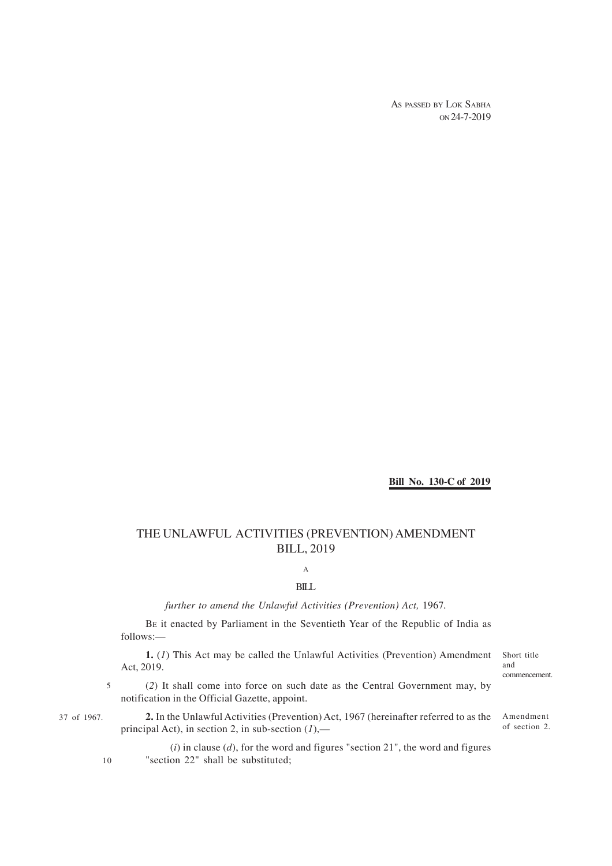AS PASSED BY LOK SABHA ON 24-7-2019

### **Bill No. 130-C of 2019**

# THE UNLAWFUL ACTIVITIES (PREVENTION) AMENDMENT BILL, 2019

# A

#### BILL

*further to amend the Unlawful Activities (Prevention) Act,* 1967*.*

BE it enacted by Parliament in the Seventieth Year of the Republic of India as follows:—

**1.** (*1*) This Act may be called the Unlawful Activities (Prevention) Amendment Act, 2019.

Short title and commencement.

of section 2.

(*2*) It shall come into force on such date as the Central Government may, by notification in the Official Gazette, appoint. 5

10

37 of 1967. **2.** In the Unlawful Activities (Prevention) Act, 1967 (hereinafter referred to as the Amendment principal Act), in section 2, in sub-section (*1*),—

> $(i)$  in clause  $(d)$ , for the word and figures "section 21", the word and figures "section 22" shall be substituted;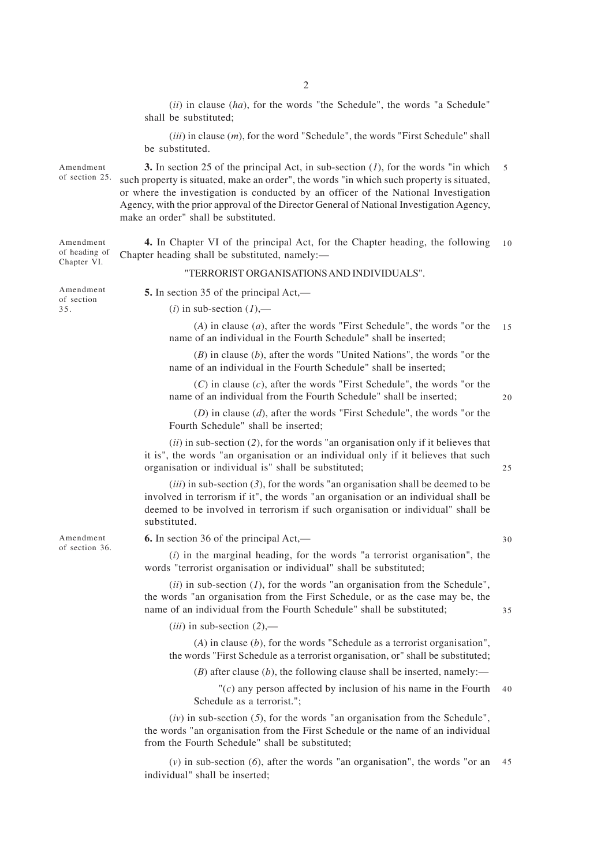(*ii*) in clause (*ha*), for the words "the Schedule", the words "a Schedule" shall be substituted;

(*iii*) in clause (*m*), for the word "Schedule", the words "First Schedule" shall be substituted.

**3.** In section 25 of the principal Act, in sub-section (*1*), for the words "in which such property is situated, make an order", the words "in which such property is situated, or where the investigation is conducted by an officer of the National Investigation Agency, with the prior approval of the Director General of National Investigation Agency, make an order" shall be substituted. of section 25. 5

**4.** In Chapter VI of the principal Act, for the Chapter heading, the following Chapter heading shall be substituted, namely:— Amendment of heading of Chapter VI. 10

#### "TERRORIST ORGANISATIONS AND INDIVIDUALS".

**5.** In section 35 of the principal Act,—

 $(i)$  in sub-section  $(1)$ ,—

(*A*) in clause (*a*), after the words "First Schedule", the words "or the name of an individual in the Fourth Schedule" shall be inserted; 15

(*B*) in clause (*b*), after the words "United Nations", the words "or the name of an individual in the Fourth Schedule" shall be inserted;

(*C*) in clause (*c*), after the words "First Schedule", the words "or the name of an individual from the Fourth Schedule" shall be inserted;

20

(*D*) in clause (*d*), after the words "First Schedule", the words "or the Fourth Schedule" shall be inserted;

(*ii*) in sub-section (*2*), for the words "an organisation only if it believes that it is", the words "an organisation or an individual only if it believes that such organisation or individual is" shall be substituted;

 $(iii)$  in sub-section  $(3)$ , for the words "an organisation shall be deemed to be involved in terrorism if it", the words "an organisation or an individual shall be deemed to be involved in terrorism if such organisation or individual" shall be substituted.

**6.** In section 36 of the principal Act,—

(*i*) in the marginal heading, for the words "a terrorist organisation", the words "terrorist organisation or individual" shall be substituted;

 $(iii)$  in sub-section  $(I)$ , for the words "an organisation from the Schedule", the words "an organisation from the First Schedule, or as the case may be, the name of an individual from the Fourth Schedule" shall be substituted;

(*iii*) in sub-section (*2*),—

(*A*) in clause (*b*), for the words "Schedule as a terrorist organisation", the words "First Schedule as a terrorist organisation, or" shall be substituted;

(*B*) after clause (*b*), the following clause shall be inserted, namely:—

"(*c*) any person affected by inclusion of his name in the Fourth Schedule as a terrorist."; 40

 $(iv)$  in sub-section  $(5)$ , for the words "an organisation from the Schedule", the words "an organisation from the First Schedule or the name of an individual from the Fourth Schedule" shall be substituted;

(*v*) in sub-section (*6*), after the words "an organisation", the words "or an individual" shall be inserted; 45

Amendment of section 36.

Amendment

Amendment of section 35.

30

35

25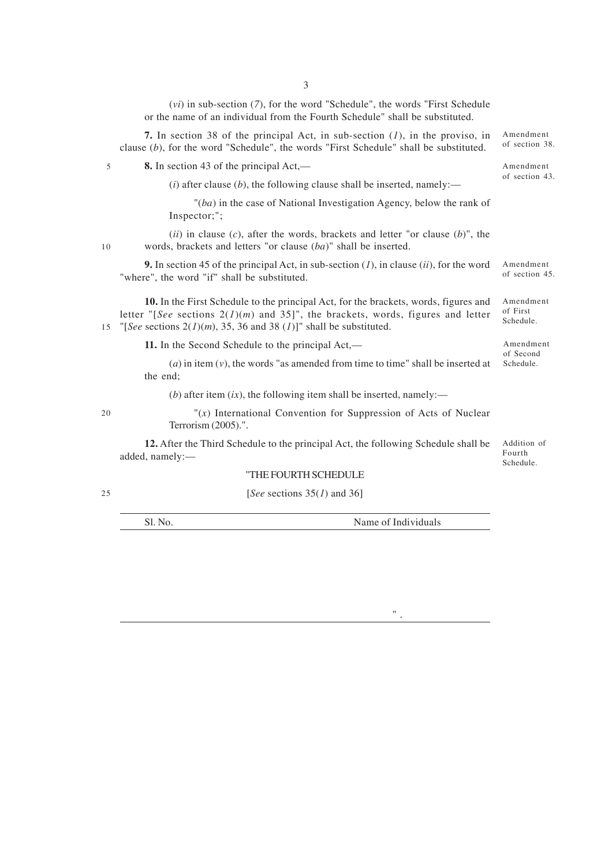(*vi*) in sub-section (*7*), for the word "Schedule", the words "First Schedule or the name of an individual from the Fourth Schedule" shall be substituted.

3

**8.** In section 43 of the principal Act,— 5

 $(i)$  after clause  $(b)$ , the following clause shall be inserted, namely:—

"(*ba*) in the case of National Investigation Agency, below the rank of Inspector;";

(*ii*) in clause (*c*), after the words, brackets and letter "or clause (*b*)", the words, brackets and letters "or clause (*ba*)" shall be inserted.

**9.** In section 45 of the principal Act, in sub-section (*1*), in clause (*ii*), for the word "where", the word "if" shall be substituted.

**10.** In the First Schedule to the principal Act, for the brackets, words, figures and letter " $[See$  sections  $2(1)(m)$  and  $35$ ]", the brackets, words, figures and letter 15 "[See sections  $2(1)(m)$ , 35, 36 and 38 (1)]" shall be substituted.

**11.** In the Second Schedule to the principal Act,—

(*a*) in item (*v*), the words "as amended from time to time" shall be inserted at the end;

(*b*) after item  $(ix)$ , the following item shall be inserted, namely:—

"(*x*) International Convention for Suppression of Acts of Nuclear Terrorism (2005).".

**12.** After the Third Schedule to the principal Act, the following Schedule shall be added, namely:— Addition of Fourth Schedule.

## "THE FOURTH SCHEDULE

[*See* sections 35(*1*) and 36]

Sl. No. Name of Individuals

 $^{\rm o}$  .

of section 38.

Amendment of section 43.

Amendment

Amendment of section 45.

Amendment of First Schedule.

Amendment of Second Schedule.

20

10

25